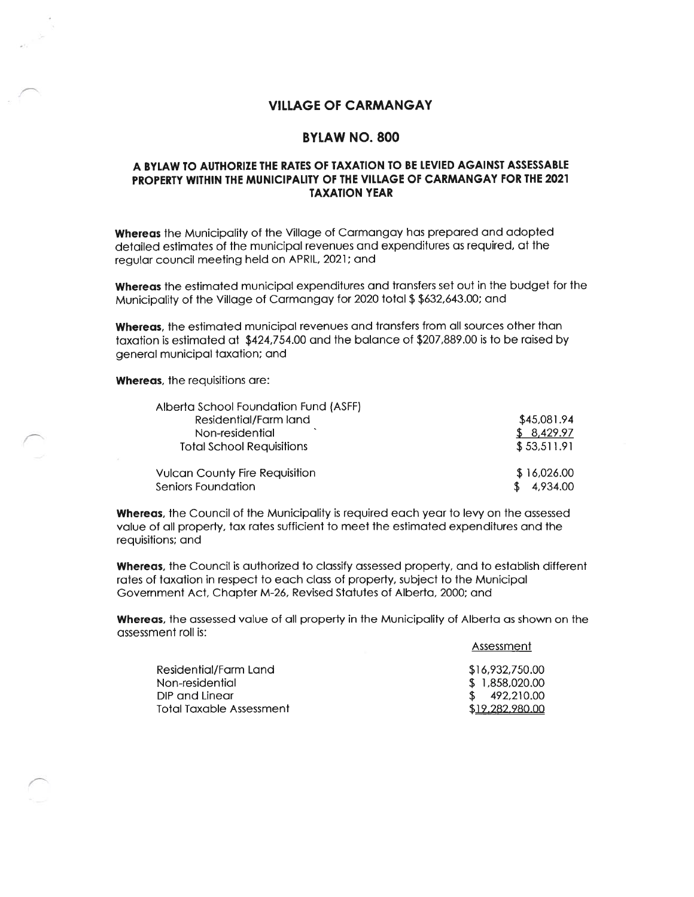## VILLAGE OF CARMANGAY

## BYLAW NO. 800

## A BYLAW TO AUTHORIZE THE RATES OF TAXATION TO BE LEVIED AGAINST ASSESSABLE PROPERTY WITHIN THE MUNICIPALITY OF THE VIlLAGE Of CARMANGAY FOR THE 2021 TAXATION YEAR

Whereas the Municipality of the Village of Carmangay has prepared and adopted detailed estimates of the municipal revenues and expenditures as required, of the regular council meeting held on APRIL, 2021; and

Whereas the estimated municipal expenditures and transfers set out in the budget for the Municipality of the Village of Carmangay for 2020 total \$ \$632,643.00; and

Whereas, the estimated municipal revenues and transfers from all sources other than taxation is estimated at \$424,754.00 and the balance of \$207,889.00 is to be raised by general municipal taxation; and

Whereas, the requisitions are:

| Alberta School Foundation Fund (ASFF) |             |
|---------------------------------------|-------------|
| Residential/Farm land                 | \$45,081.94 |
| Non-residential                       | \$8,429.97  |
| <b>Total School Requisitions</b>      | \$53,511.91 |
| <b>Vulcan County Fire Requisition</b> | \$16,026.00 |
| Seniors Foundation                    | 4.934.00    |

Whereas, the Council of the Municipality is required each year to levy on the assessed value of all property, tax rates sufficient to meet the estimated expenditures and the requisitions; and

Whereas, the Council is authorized to classify assessed property, and to establish different rates of taxation in respect to each class of property, subject to the Municipal Government Act, Chapter M-26, Revised Statutes of Alberta, 2000; and

Whereas, the assessed value of all property in the Municipality of Alberta as shown on the assessment roll is:

| Assessment |  |
|------------|--|
|            |  |

| Residential/Farm Land    | \$16,932,750.00 |
|--------------------------|-----------------|
| Non-residential          | \$ 1.858.020.00 |
| DIP and Linear           | \$ 492.210.00   |
| Total Taxable Assessment | \$19,282,980,00 |